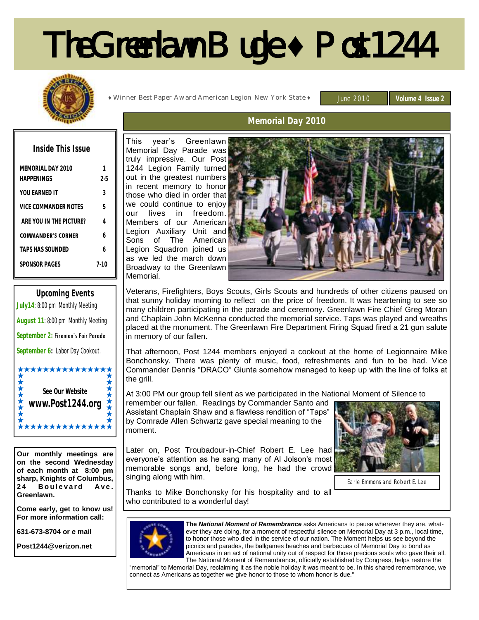# The Greenlawn Bugle **♦** Post 1244



**♦** Winner Best Paper Award American Legion New York State **♦**

June 2010 **Volume 4 Issue 2** 

# **Memorial Day 2010**

| Inside This Issue               |         |
|---------------------------------|---------|
| MEMORIAL DAY 2010<br>HAPPENINGS | $2 - 5$ |
| YOU FARNED IT                   | Κ       |
| VICE COMMANDER NOTES            | 5       |
| ARE YOU IN THE PICTURE?         | 4       |
| <b>COMMANDER'S CORNER</b>       | h       |
| <b>TAPS HAS SOLINDED</b>        | h       |
| SPONSOR PAGES                   | 7.1     |
|                                 |         |



**Our monthly meetings are on the second Wednesday of each month at 8:00 pm sharp, Knights of Columbus, Boulevard Ave. Greenlawn.** 

**Come early, get to know us! For more information call:**

**631-673-8704 or e mail**

**Post1244@verizon.net**

This year's Greenlawn Memorial Day Parade was truly impressive. Our Post 1244 Legion Family turned out in the greatest numbers in recent memory to honor those who died in order that we could continue to enjoy our lives in freedom. Members of our American Legion Auxiliary Unit and Sons of The American Legion Squadron joined us as we led the march down Broadway to the Greenlawn Memorial.



Veterans, Firefighters, Boys Scouts, Girls Scouts and hundreds of other citizens paused on that sunny holiday morning to reflect on the price of freedom. It was heartening to see so many children participating in the parade and ceremony. Greenlawn Fire Chief Greg Moran and Chaplain John McKenna conducted the memorial service. Taps was played and wreaths placed at the monument. The Greenlawn Fire Department Firing Squad fired a 21 gun salute in memory of our fallen.

That afternoon, Post 1244 members enjoyed a cookout at the home of Legionnaire Mike Bonchonsky. There was plenty of music, food, refreshments and fun to be had. Vice Commander Dennis "DRACO" Giunta somehow managed to keep up with the line of folks at the grill.

At 3:00 PM our group fell silent as we participated in the National Moment of Silence to

remember our fallen. Readings by Commander Santo and Assistant Chaplain Shaw and a flawless rendition of "Taps" by Comrade Allen Schwartz gave special meaning to the moment.

Later on, Post Troubadour-in-Chief Robert E. Lee had everyone's attention as he sang many of Al Jolson's most memorable songs and, before long, he had the crowd singing along with him.



Earle Emmons and Robert E. Lee

Thanks to Mike Bonchonsky for his hospitality and to all who contributed to a wonderful day!



**The** *National Moment of Remembrance* asks Americans to pause wherever they are, whatever they are doing, for a moment of respectful silence on Memorial Day at 3 p.m., local time, to honor those who died in the service of our nation. The Moment helps us see beyond the picnics and parades, the ballgames beaches and barbecues of Memorial Day to bond as Americans in an act of national unity out of respect for those precious souls who gave their all. The National Moment of Remembrance, officially established by Congress, helps restore the

"memorial" to Memorial Day, reclaiming it as the noble holiday it was meant to be. In this shared remembrance, we connect as Americans as together we give honor to those to whom honor is due."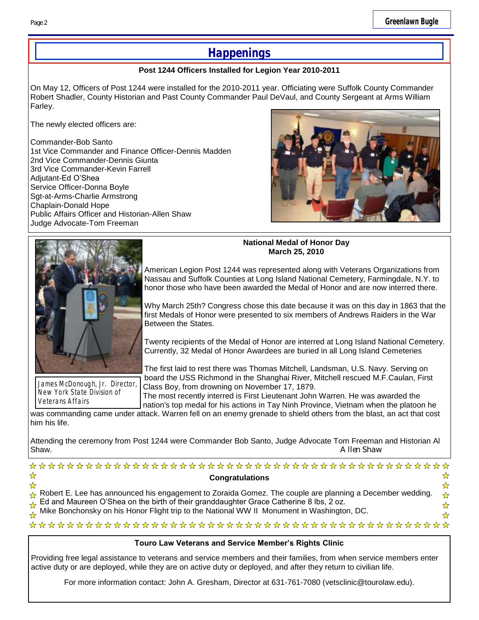# **Happenings**

#### **Post 1244 Officers Installed for Legion Year 2010-2011**

On May 12, Officers of Post 1244 were installed for the 2010-2011 year. Officiating were Suffolk County Commander Robert Shadler, County Historian and Past County Commander Paul DeVaul, and County Sergeant at Arms William Farley.

The newly elected officers are:

Commander-Bob Santo 1st Vice Commander and Finance Officer-Dennis Madden 2nd Vice Commander-Dennis Giunta 3rd Vice Commander-Kevin Farrell Adjutant-Ed O'Shea Service Officer-Donna Boyle Sgt-at-Arms-Charlie Armstrong Chaplain-Donald Hope Public Affairs Officer and Historian-Allen Shaw Judge Advocate-Tom Freeman





**National Medal of Honor Day March 25, 2010**

American Legion Post 1244 was represented along with Veterans Organizations from Nassau and Suffolk Counties at Long Island National Cemetery, Farmingdale, N.Y. to honor those who have been awarded the Medal of Honor and are now interred there.

Why March 25th? Congress chose this date because it was on this day in 1863 that the first Medals of Honor were presented to six members of Andrews Raiders in the War Between the States.

Twenty recipients of the Medal of Honor are interred at Long Island National Cemetery. Currently, 32 Medal of Honor Awardees are buried in all Long Island Cemeteries

James McDonough, Jr. Director, New York State Division of Veterans Affairs

The first laid to rest there was Thomas Mitchell, Landsman, U.S. Navy. Serving on board the USS Richmond in the Shanghai River, Mitchell rescued M.F.Caulan, First Class Boy, from drowning on November 17, 1879.

The most recently interred is First Lieutenant John Warren. He was awarded the nation's top medal for his actions in Tay Ninh Province, Vietnam when the platoon he

was commanding came under attack. Warren fell on an enemy grenade to shield others from the blast, an act that cost him his life.

Attending the ceremony from Post 1244 were Commander Bob Santo, Judge Advocate Tom Freeman and Historian Al Shaw. A Ilen Shaw and the state of the state of the state of the state of the state of the state of the state of the state of the state of the state of the state of the state of the state of the state of the state of the s

| <b>Congratulations</b>                                                                                                                                                                                                           |                   |
|----------------------------------------------------------------------------------------------------------------------------------------------------------------------------------------------------------------------------------|-------------------|
|                                                                                                                                                                                                                                  | ▚▚                |
|                                                                                                                                                                                                                                  | $\leftrightarrow$ |
|                                                                                                                                                                                                                                  |                   |
| Robert E. Lee has announced his engagement to Zoraida Gomez. The couple are planning a December wedding.<br>A Ed and Maureen O'Shea on the birth of their granddaughter Grace Catherine 8 lbs, 2 oz.<br>A Mike Bonchonsky on his | D                 |
|                                                                                                                                                                                                                                  |                   |

## **Touro Law Veterans and Service Member's Rights Clinic**

Providing free legal assistance to veterans and service members and their families, from when service members enter active duty or are deployed, while they are on active duty or deployed, and after they return to civilian life.

For more information contact: John A. Gresham, Director at 631-761-7080 (vetsclinic@tourolaw.edu).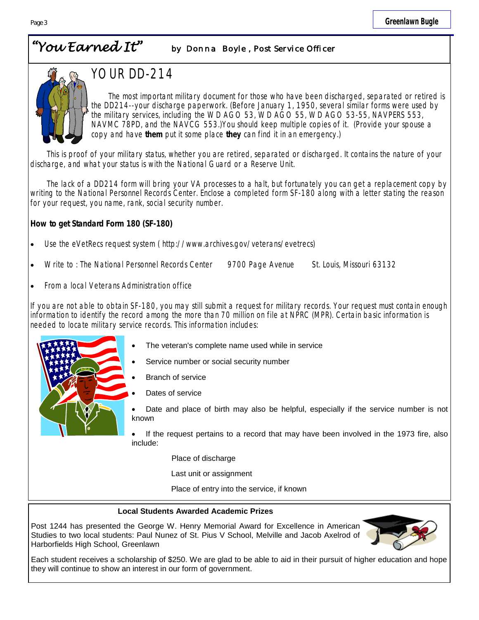# *"You Earned It" by Donna Boyle , Post Service Officer*



# YOUR DD-214

The most important military document for those who have been discharged, separated or retired is the DD214--your discharge paperwork. (Before January 1, 1950, several similar forms were used by the military services, including the WD AGO 53, WD AGO 55, WD AGO 53-55, NAVPERS 553, NAVMC 78PD, and the NAVCG 553.)You should keep multiple copies of it. (Provide your spouse a copy and have **them** put it some place **they** can find it in an emergency.)

 This is proof of your military status, whether you are retired, separated or discharged. It contains the nature of your discharge, and what your status is with the National Guard or a Reserve Unit.

 The lack of a DD214 form will bring your VA processes to a halt, but fortunately you can get a replacement copy by writing to the National Personnel Records Center. Enclose a completed form SF-180 along with a letter stating the reason for your request, you name, rank, social security number.

**How to get Standard Form 180 (SF-180)**

- [Use the eVetRecs request system](http://www.archives.gov/veterans/evetrecs/index.html) ( http://www.archives.gov/veterans/evetrecs)
- Write to : The National Personnel Records Center 9700 Page Avenue St. Louis, Missouri 63132
- From a local Veterans Administration office

If you are not able to obtain SF-180, you may still submit a request for military records. Your request must contain enough information to identify the record among the more than 70 million on file at NPRC (MPR). Certain basic information is needed to locate military service records. This information includes:

- The veteran's complete name used while in service
	- [Service number or social security number](http://www.archives.gov/st-louis/military-personnel/social-security-numbers.html)
- Branch of service
- Dates of service
- Date and place of birth may also be helpful, especially if the service number is not known

 If the request pertains to a record that may have been involved in the [1973 fire,](http://www.archives.gov/st-louis/military-personnel/fire-1973.html) also include:

Place of discharge

Last unit or assignment

Place of entry into the service, if known

#### **Local Students Awarded Academic Prizes**

Post 1244 has presented the George W. Henry Memorial Award for Excellence in American Studies to two local students: Paul Nunez of St. Pius V School, Melville and Jacob Axelrod of Harborfields High School, Greenlawn



Each student receives a scholarship of \$250. We are glad to be able to aid in their pursuit of higher education and hope they will continue to show an interest in our form of government.

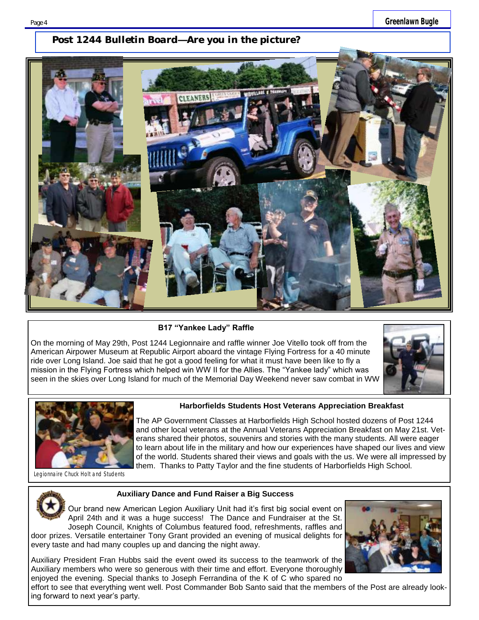# *Post 1244 Bulletin Board—Are you in the picture?*



**B17 "Yankee Lady" Raffle**

On the morning of May 29th, Post 1244 Legionnaire and raffle winner Joe Vitello took off from the American Airpower Museum at Republic Airport aboard the vintage Flying Fortress for a 40 minute ride over Long Island. Joe said that he got a good feeling for what it must have been like to fly a mission in the Flying Fortress which helped win WW II for the Allies. The "Yankee lady" which was seen in the skies over Long Island for much of the Memorial Day Weekend never saw combat in WW





#### **Harborfields Students Host Veterans Appreciation Breakfast**

The AP Government Classes at Harborfields High School hosted dozens of Post 1244 and other local veterans at the Annual Veterans Appreciation Breakfast on May 21st. Veterans shared their photos, souvenirs and stories with the many students. All were eager to learn about life in the military and how our experiences have shaped our lives and view of the world. Students shared their views and goals with the us. We were all impressed by them. Thanks to Patty Taylor and the fine students of Harborfields High School.

Legionnaire Chuck Holt and Students



#### **Auxiliary Dance and Fund Raiser a Big Success**

Our brand new American Legion Auxiliary Unit had it's first big social event on April 24th and it was a huge success! The Dance and Fundraiser at the St. Joseph Council, Knights of Columbus featured food, refreshments, raffles and

door prizes. Versatile entertainer Tony Grant provided an evening of musical delights for every taste and had many couples up and dancing the night away.

Auxiliary President Fran Hubbs said the event owed its success to the teamwork of the Auxiliary members who were so generous with their time and effort. Everyone thoroughly enjoyed the evening. Special thanks to Joseph Ferrandina of the K of C who spared no



effort to see that everything went well. Post Commander Bob Santo said that the members of the Post are already looking forward to next year's party.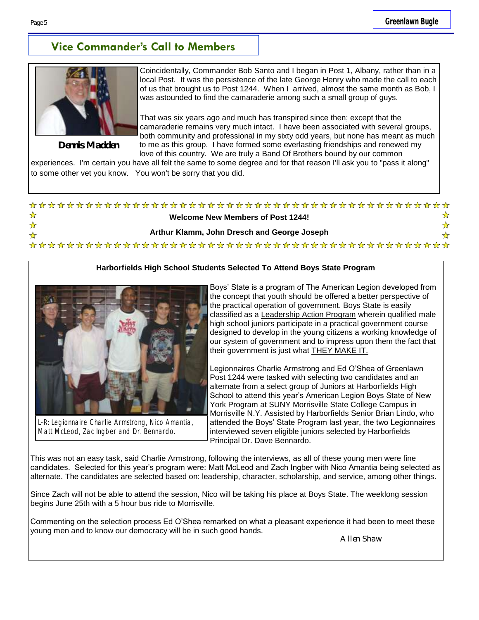# **Vice Commander's Call to Members**



**Dennis Madden**

Coincidentally, Commander Bob Santo and I began in Post 1, Albany, rather than in a local Post. It was the persistence of the late George Henry who made the call to each of us that brought us to Post 1244. When I arrived, almost the same month as Bob, I was astounded to find the camaraderie among such a small group of guys.

That was six years ago and much has transpired since then; except that the camaraderie remains very much intact. I have been associated with several groups, both community and professional in my sixty odd years, but none has meant as much to me as this group. I have formed some everlasting friendships and renewed my love of this country. We are truly a Band Of Brothers bound by our common

experiences. I'm certain you have all felt the same to some degree and for that reason I'll ask you to "pass it along" to some other vet you know. You won't be sorry that you did.

#### ☆ ☆ **Welcome New Members of Post 1244!**   $\frac{1}{N}$  $\frac{1}{N}$ **Arthur Klamm, John Dresch and George Joseph**  ☆ ⅍

## **Harborfields High School Students Selected To Attend Boys State Program**



L-R: Legionnaire Charlie Armstrong, Nico Amantia, Matt McLeod, Zac Ingber and Dr. Bennardo.

Boys' State is a program of The American Legion developed from the concept that youth should be offered a better perspective of the practical operation of government. Boys State is easily classified as a Leadership Action Program wherein qualified male high school juniors participate in a practical government course designed to develop in the young citizens a working knowledge of our system of government and to impress upon them the fact that their government is just what THEY MAKE IT.

Legionnaires Charlie Armstrong and Ed O'Shea of Greenlawn Post 1244 were tasked with selecting two candidates and an alternate from a select group of Juniors at Harborfields High School to attend this year's American Legion Boys State of New York Program at SUNY Morrisville State College Campus in Morrisville N.Y. Assisted by Harborfields Senior Brian Lindo, who attended the Boys' State Program last year, the two Legionnaires interviewed seven eligible juniors selected by Harborfields Principal Dr. Dave Bennardo.

This was not an easy task, said Charlie Armstrong, following the interviews, as all of these young men were fine candidates. Selected for this year's program were: Matt McLeod and Zach Ingber with Nico Amantia being selected as alternate. The candidates are selected based on: leadership, character, scholarship, and service, among other things.

Since Zach will not be able to attend the session, Nico will be taking his place at Boys State. The weeklong session begins June 25th with a 5 hour bus ride to Morrisville.

Commenting on the selection process Ed O'Shea remarked on what a pleasant experience it had been to meet these young men and to know our democracy will be in such good hands.

Allen Shaw